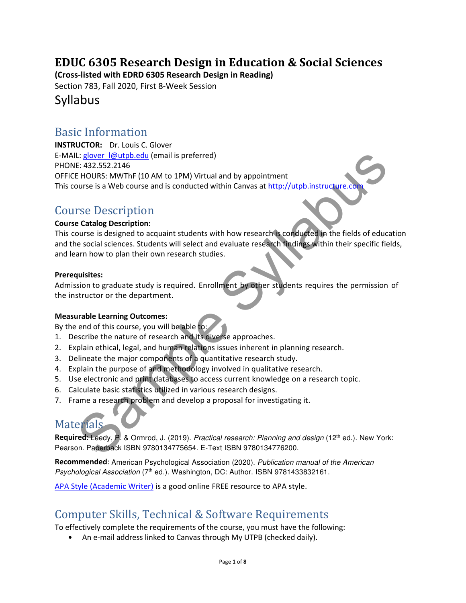# EDUC 6305 Research Design in Education & Social Sciences

(Cross-listed with EDRD 6305 Research Design in Reading)

Section 783, Fall 2020, First 8-Week Session

### Syllabus

### Basic Information

Li glover leaded<br>
Et al22.552.2146<br>
Et experimente (10 AM to 1PM) Virtual and by appointment<br>
EHOURS: MWThF (10 AM to 1PM) Virtual and by appointment<br>
EHOURS: MWThF (10 AM to 1PM) Virtual and by appointment<br>
SE DESCription INSTRUCTOR: Dr. Louis C. Glover E-MAIL: glover  $\lceil \omega$ utpb.edu (email is preferred) PHONE: 432.552.2146 OFFICE HOURS: MWThF (10 AM to 1PM) Virtual and by appointment This course is a Web course and is conducted within Canvas at http://utpb.instructure

### Course Description

#### Course Catalog Description:

This course is designed to acquaint students with how research is conducted in the fields of education and the social sciences. Students will select and evaluate research findings within their specific fields, and learn how to plan their own research studies.

#### Prerequisites:

Admission to graduate study is required. Enrollment by other students requires the permission of the instructor or the department.

#### Measurable Learning Outcomes:

By the end of this course, you will be able to:

- 1. Describe the nature of research and its diverse approaches.
- 2. Explain ethical, legal, and human relations issues inherent in planning research.
- 3. Delineate the major components of a quantitative research study.
- 4. Explain the purpose of and methodology involved in qualitative research.
- 5. Use electronic and print databases to access current knowledge on a research topic.
- 6. Calculate basic statistics utilized in various research designs.
- 7. Frame a research problem and develop a proposal for investigating it.

# **Materials**

Required: Leedy, P. & Ormrod, J. (2019). Practical research: Planning and design (12<sup>th</sup> ed.). New York: Pearson. Paperback ISBN 9780134775654. E-Text ISBN 9780134776200.

Recommended: American Psychological Association (2020). Publication manual of the American Psychological Association (7th ed.). Washington, DC: Author. ISBN 9781433832161.

APA Style (Academic Writer) is a good online FREE resource to APA style.

## Computer Skills, Technical & Software Requirements

To effectively complete the requirements of the course, you must have the following:

• An e-mail address linked to Canvas through My UTPB (checked daily).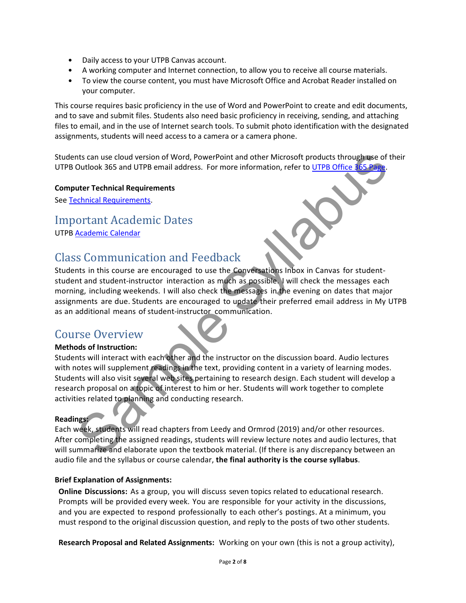- Daily access to your UTPB Canvas account.
- A working computer and Internet connection, to allow you to receive all course materials.
- To view the course content, you must have Microsoft Office and Acrobat Reader installed on your computer.

This course requires basic proficiency in the use of Word and PowerPoint to create and edit documents, and to save and submit files. Students also need basic proficiency in receiving, sending, and attaching files to email, and in the use of Internet search tools. To submit photo identification with the designated assignments, students will need access to a camera or a camera phone.

Students can use cloud version of Word, PowerPoint and other Microsoft products through use of their UTPB Outlook 365 and UTPB email address. For more information, refer to UTPB Office 365 P

#### Computer Technical Requirements

See Technical Requirements.

### Important Academic Dates

UTPB Academic Calendar

## Class Communication and Feedback

nts can use cloud version of Word, PowerPoint and other Microsoft products through use of the<br>Outlook 365 and UTPB email address. For more information, refer to <u>UTPB Office 165 Pape</u><br>
uter **Technical Requirements**<br>
SCOMIT Students in this course are encouraged to use the Conversations Inbox in Canvas for studentstudent and student-instructor interaction as much as possible. I will check the messages each morning, including weekends. I will also check the messages in the evening on dates that major assignments are due. Students are encouraged to update their preferred email address in My UTPB as an additional means of student-instructor communication.

### Course Overview

#### Methods of Instruction:

Students will interact with each other and the instructor on the discussion board. Audio lectures with notes will supplement readings in the text, providing content in a variety of learning modes. Students will also visit several web sites pertaining to research design. Each student will develop a research proposal on a topic of interest to him or her. Students will work together to complete activities related to planning and conducting research.

#### Readings:

Each week, students will read chapters from Leedy and Ormrod (2019) and/or other resources. After completing the assigned readings, students will review lecture notes and audio lectures, that will summarize and elaborate upon the textbook material. (If there is any discrepancy between an audio file and the syllabus or course calendar, the final authority is the course syllabus.

#### Brief Explanation of Assignments:

Online Discussions: As a group, you will discuss seven topics related to educational research. Prompts will be provided every week. You are responsible for your activity in the discussions, and you are expected to respond professionally to each other's postings. At a minimum, you must respond to the original discussion question, and reply to the posts of two other students.

Research Proposal and Related Assignments: Working on your own (this is not a group activity),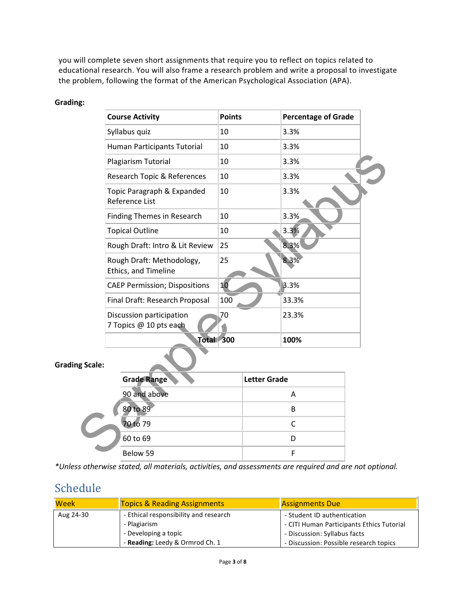you will complete seven short assignments that require you to reflect on topics related to educational research. You will also frame a research problem and write a proposal to investigate the problem, following the format of the American Psychological Association (APA).

#### Grading:

| <b>Course Activity</b>                             | <b>Points</b>       | <b>Percentage of Grade</b> |
|----------------------------------------------------|---------------------|----------------------------|
| Syllabus quiz                                      | 10                  | 3.3%                       |
| Human Participants Tutorial                        | 10                  | 3.3%                       |
| Plagiarism Tutorial                                | 10                  | 3.3%                       |
| Research Topic & References                        | 10                  | 3.3%                       |
| Topic Paragraph & Expanded<br>Reference List       | 10                  | 3.3%                       |
| <b>Finding Themes in Research</b>                  | 10                  | 3.3%                       |
| <b>Topical Outline</b>                             | 10                  | 3.3%                       |
| Rough Draft: Intro & Lit Review                    | 25                  | 8.3%                       |
| Rough Draft: Methodology,<br>Ethics, and Timeline  | 25                  | 8.3%                       |
| <b>CAEP Permission; Dispositions</b>               | 10                  | 3.3%                       |
| Final Draft: Research Proposal                     | 100                 | 33.3%                      |
| Discussion participation<br>7 Topics @ 10 pts each | 70                  | 23.3%                      |
| Total 300                                          |                     | 100%                       |
| ng Scale:                                          |                     |                            |
| <b>Grade Range</b>                                 | <b>Letter Grade</b> |                            |
| 90 and above                                       |                     | A                          |
| 80 to 89                                           |                     | B                          |
| 70 to 79                                           |                     | $\mathsf C$                |
| 60 to 69                                           |                     | D                          |
| Below 59                                           |                     | F                          |

#### Grading Scale:

| <b>Grade Range</b> | <b>Letter Grade</b> |
|--------------------|---------------------|
| 90 and above       |                     |
| 80 to 89           | R                   |
| 70 to 79           |                     |
| 60 to 69           |                     |
| Below 59           |                     |

\*Unless otherwise stated, all materials, activities, and assessments are required and are not optional.

# Schedule

| Week      | <b>Topics &amp; Reading Assignments</b> | <b>Assignments Due</b>                    |
|-----------|-----------------------------------------|-------------------------------------------|
| Aug 24-30 | - Ethical responsibility and research   | - Student ID authentication               |
|           | - Plagiarism                            | - CITI Human Participants Ethics Tutorial |
|           | - Developing a topic                    | - Discussion: Syllabus facts              |
|           | - Reading: Leedy & Ormrod Ch. 1         | - Discussion: Possible research topics    |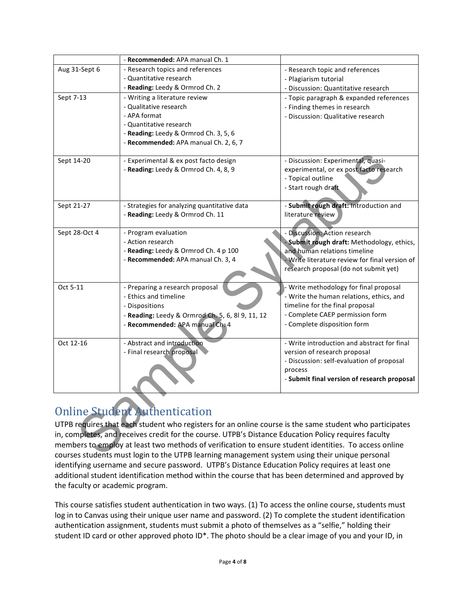|                                                                                                         | - Recommended: APA manual Ch. 1                                                                       |                                                             |  |
|---------------------------------------------------------------------------------------------------------|-------------------------------------------------------------------------------------------------------|-------------------------------------------------------------|--|
| Aug 31-Sept 6                                                                                           | - Research topics and references                                                                      | - Research topic and references                             |  |
|                                                                                                         | - Quantitative research                                                                               | - Plagiarism tutorial                                       |  |
|                                                                                                         | - Reading: Leedy & Ormrod Ch. 2                                                                       | - Discussion: Quantitative research                         |  |
| Sept 7-13                                                                                               | - Writing a literature review                                                                         | - Topic paragraph & expanded references                     |  |
|                                                                                                         | - Qualitative research                                                                                | - Finding themes in research                                |  |
|                                                                                                         | - APA format                                                                                          | - Discussion: Qualitative research                          |  |
|                                                                                                         | - Quantitative research                                                                               |                                                             |  |
|                                                                                                         | - Reading: Leedy & Ormrod Ch. 3, 5, 6                                                                 |                                                             |  |
|                                                                                                         | - Recommended: APA manual Ch. 2, 6, 7                                                                 |                                                             |  |
|                                                                                                         |                                                                                                       |                                                             |  |
| Sept 14-20                                                                                              | - Experimental & ex post facto design                                                                 | - Discussion: Experimental, quasi-                          |  |
|                                                                                                         | - Reading: Leedy & Ormrod Ch. 4, 8, 9                                                                 | experimental, or ex post facto research                     |  |
|                                                                                                         |                                                                                                       | - Topical outline                                           |  |
|                                                                                                         |                                                                                                       | - Start rough draft                                         |  |
|                                                                                                         |                                                                                                       |                                                             |  |
| Sept 21-27                                                                                              | - Strategies for analyzing quantitative data                                                          | - Submit rough draft: Introduction and<br>literature review |  |
|                                                                                                         | - Reading: Leedy & Ormrod Ch. 11                                                                      |                                                             |  |
| Sept 28-Oct 4                                                                                           | - Program evaluation                                                                                  | - Discussion: Action research                               |  |
|                                                                                                         | - Action research                                                                                     | - Submit rough draft: Methodology, ethics,                  |  |
|                                                                                                         | - Reading: Leedy & Ormrod Ch. 4 p 100                                                                 | and human relations timeline                                |  |
|                                                                                                         | - Recommended: APA manual Ch. 3, 4                                                                    | - Write literature review for final version of              |  |
|                                                                                                         |                                                                                                       | research proposal (do not submit yet)                       |  |
|                                                                                                         |                                                                                                       |                                                             |  |
| Oct 5-11                                                                                                | - Preparing a research proposal                                                                       | - Write methodology for final proposal                      |  |
|                                                                                                         | - Ethics and timeline                                                                                 | - Write the human relations, ethics, and                    |  |
|                                                                                                         | - Dispositions                                                                                        | timeline for the final proposal                             |  |
|                                                                                                         | - Reading: Leedy & Ormrod Ch. 5, 6, 8l 9, 11, 12                                                      | - Complete CAEP permission form                             |  |
|                                                                                                         | - Recommended: APA manual Ch. 4                                                                       | - Complete disposition form                                 |  |
|                                                                                                         |                                                                                                       |                                                             |  |
| Oct 12-16                                                                                               | - Abstract and introduction                                                                           | - Write introduction and abstract for final                 |  |
|                                                                                                         | - Final research proposal                                                                             | version of research proposal                                |  |
|                                                                                                         |                                                                                                       | - Discussion: self-evaluation of proposal                   |  |
|                                                                                                         |                                                                                                       | process                                                     |  |
|                                                                                                         |                                                                                                       | - Submit final version of research proposal                 |  |
|                                                                                                         |                                                                                                       |                                                             |  |
|                                                                                                         |                                                                                                       |                                                             |  |
|                                                                                                         | <b>Online Student Authentication</b>                                                                  |                                                             |  |
|                                                                                                         |                                                                                                       |                                                             |  |
| UTPB requires that each student who registers for an online course is the same student who participates |                                                                                                       |                                                             |  |
|                                                                                                         | in, completes, and receives credit for the course. UTPB's Distance Education Policy requires faculty  |                                                             |  |
|                                                                                                         | members to employ at least two methods of verification to ensure student identities. To access online |                                                             |  |
|                                                                                                         | courses students must login to the UTPB learning management system using their unique personal        |                                                             |  |

# Online Student Authentication

UTPB requires that each student who registers for an online course is the same student who participates in, completes, and receives credit for the course. UTPB's Distance Education Policy requires faculty members to employ at least two methods of verification to ensure student identities. To access online courses students must login to the UTPB learning management system using their unique personal identifying username and secure password. UTPB's Distance Education Policy requires at least one additional student identification method within the course that has been determined and approved by the faculty or academic program.

This course satisfies student authentication in two ways. (1) To access the online course, students must log in to Canvas using their unique user name and password. (2) To complete the student identification authentication assignment, students must submit a photo of themselves as a "selfie," holding their student ID card or other approved photo ID<sup>\*</sup>. The photo should be a clear image of you and your ID, in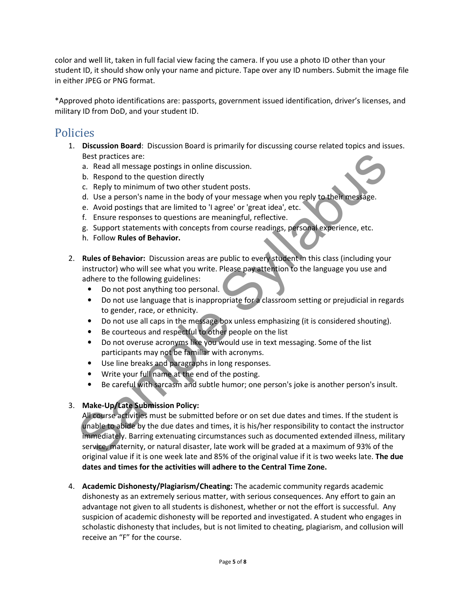color and well lit, taken in full facial view facing the camera. If you use a photo ID other than your student ID, it should show only your name and picture. Tape over any ID numbers. Submit the image file in either JPEG or PNG format.

\*Approved photo identifications are: passports, government issued identification, driver's licenses, and military ID from DoD, and your student ID.

### Policies

- 1. Discussion Board: Discussion Board is primarily for discussing course related topics and issues. Best practices are:
	- a. Read all message postings in online discussion.
	- b. Respond to the question directly
	- c. Reply to minimum of two other student posts.
	- d. Use a person's name in the body of your message when you reply to their message.
	- e. Avoid postings that are limited to 'I agree' or 'great idea', etc.
	- f. Ensure responses to questions are meaningful, reflective.
	- g. Support statements with concepts from course readings, personal experience, etc.
	- h. Follow Rules of Behavior.
- 2. Rules of Behavior: Discussion areas are public to every student in this class (including your instructor) who will see what you write. Please pay attention to the language you use and adhere to the following guidelines:
	- Do not post anything too personal.
	- Do not use language that is inappropriate for a classroom setting or prejudicial in regards to gender, race, or ethnicity.
	- Do not use all caps in the message box unless emphasizing (it is considered shouting).
	- Be courteous and respectful to other people on the list
	- Do not overuse acronyms like you would use in text messaging. Some of the list participants may not be familiar with acronyms.
	- Use line breaks and paragraphs in long responses.
	- Write your full name at the end of the posting.
	- Be careful with sarcasm and subtle humor; one person's joke is another person's insult.

#### 3. Make-Up/Late Submission Policy:

Best practices are:<br>
Destinates and all message postings in online discussion.<br>
D. Respond to the question directly<br>
d. Use a person's name in the body of your message when you reply to their message.<br>
e. Avoid postings th All course activities must be submitted before or on set due dates and times. If the student is unable to abide by the due dates and times, it is his/her responsibility to contact the instructor immediately. Barring extenuating circumstances such as documented extended illness, military service, maternity, or natural disaster, late work will be graded at a maximum of 93% of the original value if it is one week late and 85% of the original value if it is two weeks late. The due dates and times for the activities will adhere to the Central Time Zone.

4. Academic Dishonesty/Plagiarism/Cheating: The academic community regards academic dishonesty as an extremely serious matter, with serious consequences. Any effort to gain an advantage not given to all students is dishonest, whether or not the effort is successful. Any suspicion of academic dishonesty will be reported and investigated. A student who engages in scholastic dishonesty that includes, but is not limited to cheating, plagiarism, and collusion will receive an "F" for the course.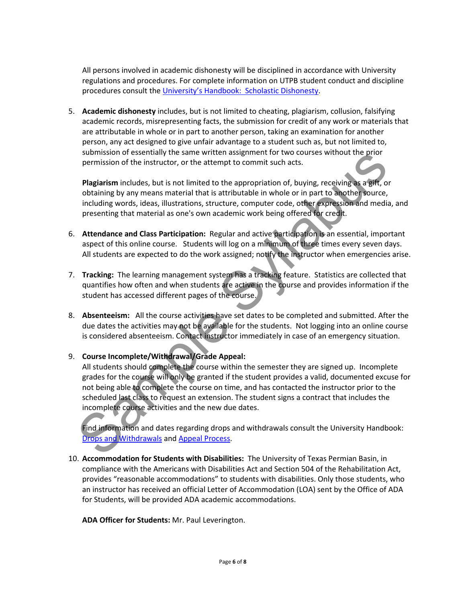All persons involved in academic dishonesty will be disciplined in accordance with University regulations and procedures. For complete information on UTPB student conduct and discipline procedures consult the University's Handbook: Scholastic Dishonesty.

5. Academic dishonesty includes, but is not limited to cheating, plagiarism, collusion, falsifying academic records, misrepresenting facts, the submission for credit of any work or materials that are attributable in whole or in part to another person, taking an examination for another person, any act designed to give unfair advantage to a student such as, but not limited to, submission of essentially the same written assignment for two courses without the prior permission of the instructor, or the attempt to commit such acts.

Plagiarism includes, but is not limited to the appropriation of, buying, receiving as a gift, or obtaining by any means material that is attributable in whole or in part to another source, including words, ideas, illustrations, structure, computer code, other expression and media, and presenting that material as one's own academic work being offered for credit.

- 6. Attendance and Class Participation: Regular and active participation is an essential, important aspect of this online course. Students will log on a minimum of three times every seven days. All students are expected to do the work assigned; notify the instructor when emergencies arise.
- 7. Tracking: The learning management system has a tracking feature. Statistics are collected that quantifies how often and when students are active in the course and provides information if the student has accessed different pages of the course.
- 8. Absenteeism: All the course activities have set dates to be completed and submitted. After the due dates the activities may not be available for the students. Not logging into an online course is considered absenteeism. Contact instructor immediately in case of an emergency situation.

#### 9. Course Incomplete/Withdrawal/Grade Appeal:

summission of essentiny the same written assignment for two courses without the prior<br>permission of the instructor, or the attempt to commit such asts.<br> **Plagiarism** includes, but is not limited to the appropriation of, bu All students should complete the course within the semester they are signed up. Incomplete grades for the course will only be granted if the student provides a valid, documented excuse for not being able to complete the course on time, and has contacted the instructor prior to the scheduled last class to request an extension. The student signs a contract that includes the incomplete course activities and the new due dates.

Find information and dates regarding drops and withdrawals consult the University Handbook: Drops and Withdrawals and Appeal Process.

10. Accommodation for Students with Disabilities: The University of Texas Permian Basin, in compliance with the Americans with Disabilities Act and Section 504 of the Rehabilitation Act, provides "reasonable accommodations" to students with disabilities. Only those students, who an instructor has received an official Letter of Accommodation (LOA) sent by the Office of ADA for Students, will be provided ADA academic accommodations.

ADA Officer for Students: Mr. Paul Leverington.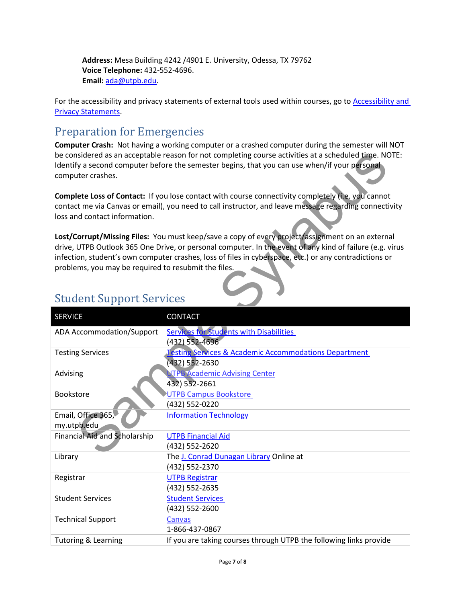Address: Mesa Building 4242 /4901 E. University, Odessa, TX 79762 Voice Telephone: 432-552-4696. Email: ada@utpb.edu.

For the accessibility and privacy statements of external tools used within courses, go to Accessibility and Privacy Statements.

# Preparation for Emergencies

Computer Crash: Not having a working computer or a crashed computer during the semester will NOT be considered as an acceptable reason for not completing course activities at a scheduled time. NOTE: Identify a second computer before the semester begins, that you can use when/if your personal computer crashes.

| computer crashes.                                    | be considered as an acceptable reason for not completing course activities at a scheduled time. NOTE:<br>Identify a second computer before the semester begins, that you can use when/if your personal                                                                                                                 |
|------------------------------------------------------|------------------------------------------------------------------------------------------------------------------------------------------------------------------------------------------------------------------------------------------------------------------------------------------------------------------------|
| loss and contact information.                        | Complete Loss of Contact: If you lose contact with course connectivity completely (i.e. you cannot<br>contact me via Canvas or email), you need to call instructor, and leave message regarding connectivity                                                                                                           |
|                                                      | Lost/Corrupt/Missing Files: You must keep/save a copy of every project/assignment on an external<br>drive, UTPB Outlook 365 One Drive, or personal computer. In the event of any kind of failure (e.g. virus<br>infection, student's own computer crashes, loss of files in cyberspace, etc.) or any contradictions or |
| problems, you may be required to resubmit the files. |                                                                                                                                                                                                                                                                                                                        |
| <b>Student Support Services</b>                      |                                                                                                                                                                                                                                                                                                                        |
| <b>SERVICE</b>                                       | <b>CONTACT</b>                                                                                                                                                                                                                                                                                                         |
| <b>ADA Accommodation/Support</b>                     | <b>Services for Students with Disabilities</b><br>(432) 552-4696                                                                                                                                                                                                                                                       |
| <b>Testing Services</b>                              | <b>Testing Services &amp; Academic Accommodations Department</b><br>(432) 552-2630                                                                                                                                                                                                                                     |
| Advising                                             | <b>NTPB Academic Advising Center</b><br>432) 552-2661                                                                                                                                                                                                                                                                  |
| <b>Bookstore</b>                                     | <b>UTPB Campus Bookstore</b><br>(432) 552-0220                                                                                                                                                                                                                                                                         |
| Email, Office 365,<br>my.utpb.edu                    | <b>Information Technology</b>                                                                                                                                                                                                                                                                                          |
| <b>Financial Aid and Scholarship</b>                 | <b>UTPB Financial Aid</b><br>(432) 552-2620                                                                                                                                                                                                                                                                            |
| Library                                              | The J. Conrad Dunagan Library Online at<br>(432) 552-2370                                                                                                                                                                                                                                                              |
| Registrar                                            | <b>UTPB Registrar</b><br>(432) 552-2635                                                                                                                                                                                                                                                                                |
| <b>Student Services</b>                              | <b>Student Services</b><br>(432) 552-2600                                                                                                                                                                                                                                                                              |
| <b>Technical Support</b>                             | Canvas<br>1-866-437-0867                                                                                                                                                                                                                                                                                               |
| <b>Tutoring &amp; Learning</b>                       | If you are taking courses through UTPB the following links provide                                                                                                                                                                                                                                                     |

### Student Support Services